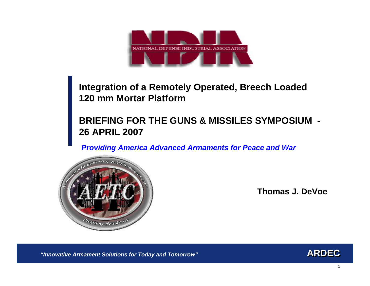

# **Integration of a Remotely Operated, Breech Loaded 120 mm Mortar Platform**

# **BRIEFING FOR THE GUNS & MISSILES SYMPOSIUM - 26 APRIL 2007**

*Providing America Advanced Armaments for Peace and War*



**Thomas J. DeVoe**

*"Innovative Armament Solutions for Today and Tomorrow"*

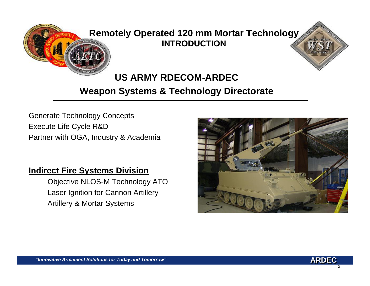

# **Remotely Operated 120 mm Mortar Technology INTRODUCTION**



Generate Technology Concepts Execute Life Cycle R&D Partner with OGA, Industry & Academia

### **Indirect Fire Systems Division**

Objective NLOS-M Technology ATO Laser Ignition for Cannon Artillery Artillery & Mortar Systems



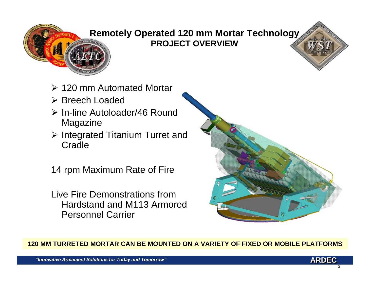

# **Remotely Operated 120 mm Mortar Technology PROJECT OVERVIEW**

- ¾ 120 mm Automated Mortar
- ¾ Breech Loaded
- ¾ In-line Autoloader/46 Round Magazine
- ¾ Integrated Titanium Turret and Cradle
- 14 rpm Maximum Rate of Fire
- Live Fire Demonstrations from Hardstand and M113 Armored Personnel Carrier



**120 MM TURRETED MORTAR CAN BE MOUNTED ON A VARIETY OF FIXED OR MOBILE PLATFORMS**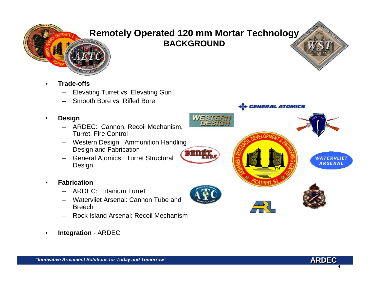

# **Remotely Operated 120 mm Mortar Technology BACKGROUND**



- • **Trade-offs**
	- Elevating Turret vs. Elevating Gun
	- Smooth Bore vs. Rifled Bore
- • **Design**
	- ARDEC: Cannon, Recoil Mechanism, Turret, Fire Control
	- Western Design: Ammunition Handling Design and Fabrication
	- General Atomics: Turret Structural Design
- • **Fabrication**
	- ARDEC: Titanium Turret
	- Watervliet Arsenal: Cannon Tube and Breech
	- Rock Island Arsenal: Recoil Mechanism
- •**Integration** - ARDEC











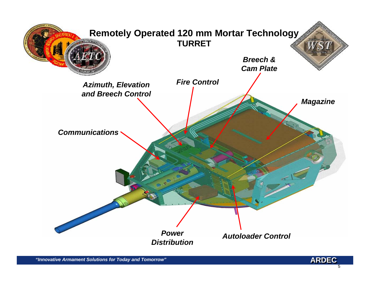

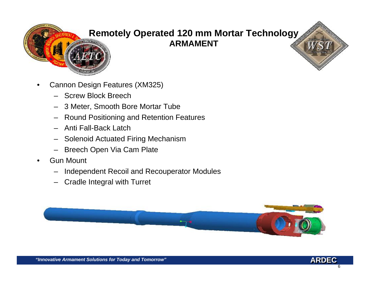

# **Remotely Operated 120 mm Mortar Technology ARMAMENT**

- • Cannon Design Features (XM325)
	- Screw Block Breech
	- 3 Meter, Smooth Bore Mortar Tube
	- Round Positioning and Retention Features
	- Anti Fall-Back Latch
	- Solenoid Actuated Firing Mechanism
	- Breech Open Via Cam Plate
- • Gun Mount
	- –Independent Recoil and Recouperator Modules
	- –Cradle Integral with Turret

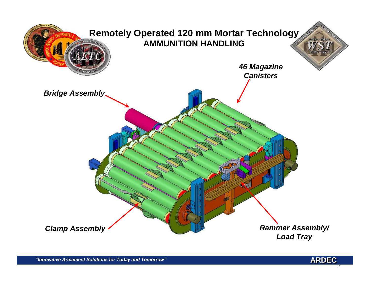

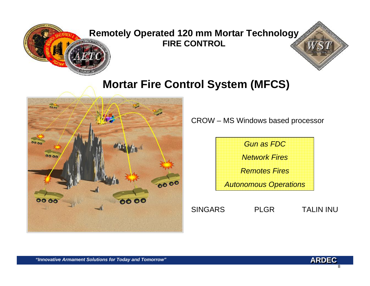

**Remotely Operated 120 mm Mortar Technology FIRE CONTROL**

# **Mortar Fire Control System (MFCS)**



CROW – MS Windows based processor



SINGARS PLGR TALIN INU

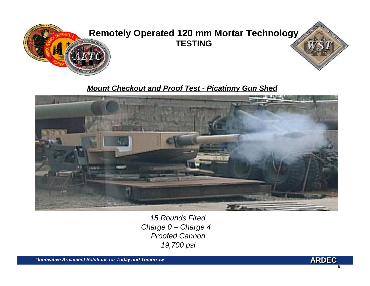

## **Remotely Operated 120 mm Mortar Technology TESTING**

#### *Mount Checkout and Proof Test - Picatinny Gun Shed*



*15 Rounds FiredCharge 0 – Charge 4+ Proofed Cannon19,700 psi*

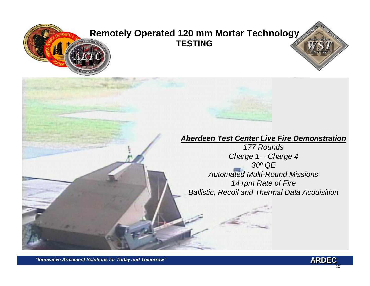# **Remotely Operated 120 mm Mortar Technology TESTING**

#### *Aberdeen Test Center Live Fire Demonstration*

*177 RoundsCharge 1 – Charge 4 30º QE Automated Multi-Round Missions14 rpm Rate of Fire Ballistic, Recoil and Thermal Data Acquisition*

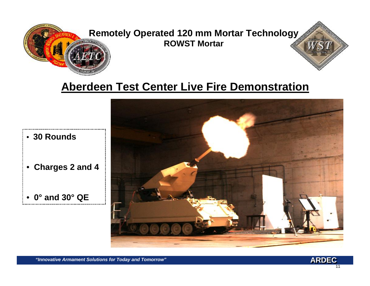

**Remotely Operated 120 mm Mortar Technology ROWST Mortar**

# **Aberdeen Test Center Live Fire Demonstration**



• **30 Rounds**

- **Charges 2 and 4**
- **0° and 30° QE**..................................